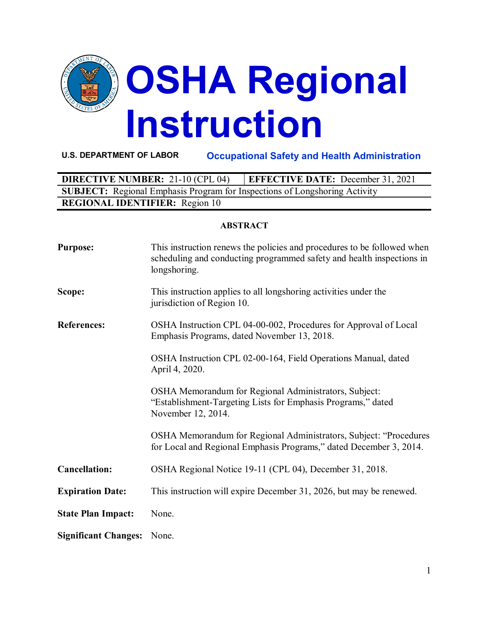

**U.S. DEPARTMENT OF LABOR Occupational Safety and Health Administration**

| <b>DIRECTIVE NUMBER: 21-10 (CPL 04)</b>                                           | <b>EFFECTIVE DATE:</b> December 31, 2021 |  |  |
|-----------------------------------------------------------------------------------|------------------------------------------|--|--|
| <b>SUBJECT:</b> Regional Emphasis Program for Inspections of Longshoring Activity |                                          |  |  |
| <b>REGIONAL IDENTIFIER:</b> Region 10                                             |                                          |  |  |

#### **ABSTRACT**

| <b>Purpose:</b>             | This instruction renews the policies and procedures to be followed when<br>scheduling and conducting programmed safety and health inspections in<br>longshoring. |
|-----------------------------|------------------------------------------------------------------------------------------------------------------------------------------------------------------|
| Scope:                      | This instruction applies to all longshoring activities under the<br>jurisdiction of Region 10.                                                                   |
| <b>References:</b>          | OSHA Instruction CPL 04-00-002, Procedures for Approval of Local<br>Emphasis Programs, dated November 13, 2018.                                                  |
|                             | OSHA Instruction CPL 02-00-164, Field Operations Manual, dated<br>April 4, 2020.                                                                                 |
|                             | OSHA Memorandum for Regional Administrators, Subject:<br>"Establishment-Targeting Lists for Emphasis Programs," dated<br>November 12, 2014.                      |
|                             | OSHA Memorandum for Regional Administrators, Subject: "Procedures<br>for Local and Regional Emphasis Programs," dated December 3, 2014.                          |
| <b>Cancellation:</b>        | OSHA Regional Notice 19-11 (CPL 04), December 31, 2018.                                                                                                          |
| <b>Expiration Date:</b>     | This instruction will expire December 31, 2026, but may be renewed.                                                                                              |
| <b>State Plan Impact:</b>   | None.                                                                                                                                                            |
| <b>Significant Changes:</b> | None.                                                                                                                                                            |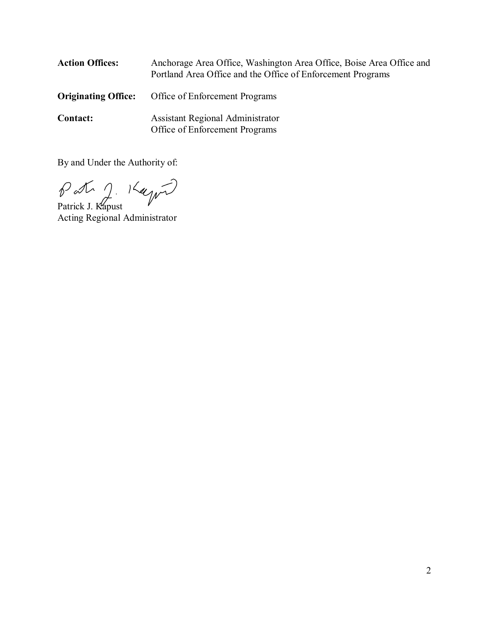| <b>Action Offices:</b>     | Anchorage Area Office, Washington Area Office, Boise Area Office and<br>Portland Area Office and the Office of Enforcement Programs |
|----------------------------|-------------------------------------------------------------------------------------------------------------------------------------|
| <b>Originating Office:</b> | Office of Enforcement Programs                                                                                                      |
| <b>Contact:</b>            | <b>Assistant Regional Administrator</b><br>Office of Enforcement Programs                                                           |

By and Under the Authority of:

Patrick J. Kapust Acting Regional Administrator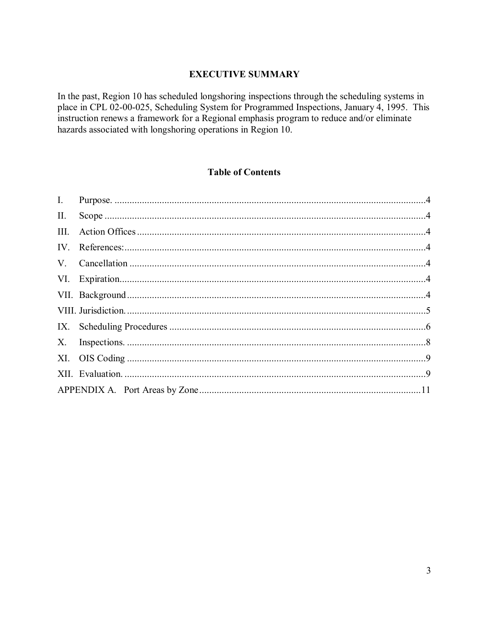### **EXECUTIVE SUMMARY**

In the past, Region 10 has scheduled longshoring inspections through the scheduling systems in place in CPL 02-00-025, Scheduling System for Programmed Inspections, January 4, 1995. This instruction renews a framework for a Regional emphasis program to reduce and/or eliminate hazards associated with longshoring operations in Region 10.

### **Table of Contents**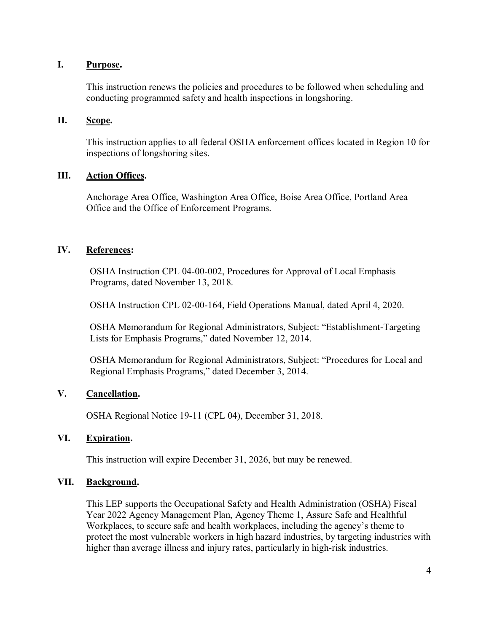### <span id="page-3-0"></span>**I. Purpose.**

This instruction renews the policies and procedures to be followed when scheduling and conducting programmed safety and health inspections in longshoring.

### <span id="page-3-1"></span>**II. Scope.**

This instruction applies to all federal OSHA enforcement offices located in Region 10 for inspections of longshoring sites.

### <span id="page-3-2"></span>**III. Action Offices.**

Anchorage Area Office, Washington Area Office, Boise Area Office, Portland Area Office and the Office of Enforcement Programs.

### <span id="page-3-3"></span>**IV. References:**

OSHA Instruction CPL 04-00-002, Procedures for Approval of Local Emphasis Programs, dated November 13, 2018.

OSHA Instruction CPL 02-00-164, Field Operations Manual, dated April 4, 2020.

OSHA Memorandum for Regional Administrators, Subject: "Establishment-Targeting Lists for Emphasis Programs," dated November 12, 2014.

OSHA Memorandum for Regional Administrators, Subject: "Procedures for Local and Regional Emphasis Programs," dated December 3, 2014.

### <span id="page-3-4"></span>**V. Cancellation.**

OSHA Regional Notice 19-11 (CPL 04), December 31, 2018.

### <span id="page-3-5"></span>**VI. Expiration.**

This instruction will expire December 31, 2026, but may be renewed.

### <span id="page-3-6"></span>**VII. Background.**

This LEP supports the Occupational Safety and Health Administration (OSHA) Fiscal Year 2022 Agency Management Plan, Agency Theme 1, Assure Safe and Healthful Workplaces, to secure safe and health workplaces, including the agency's theme to protect the most vulnerable workers in high hazard industries, by targeting industries with higher than average illness and injury rates, particularly in high-risk industries.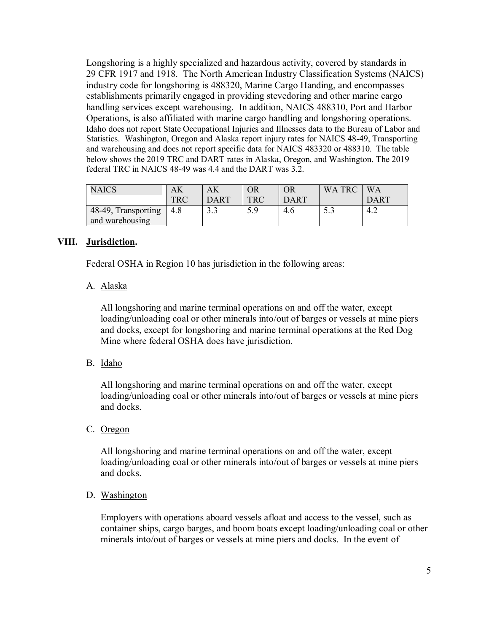Longshoring is a highly specialized and hazardous activity, covered by standards in 29 CFR 1917 and 1918. The North American Industry Classification Systems (NAICS) industry code for longshoring is 488320, Marine Cargo Handing, and encompasses establishments primarily engaged in providing stevedoring and other marine cargo handling services except warehousing. In addition, NAICS 488310, Port and Harbor Operations, is also affiliated with marine cargo handling and longshoring operations. Idaho does not report State Occupational Injuries and Illnesses data to the Bureau of Labor and Statistics. Washington, Oregon and Alaska report injury rates for NAICS 48-49, Transporting and warehousing and does not report specific data for NAICS 483320 or 488310. The table below shows the 2019 TRC and DART rates in Alaska, Oregon, and Washington. The 2019 federal TRC in NAICS 48-49 was 4.4 and the DART was 3.2.

| <b>NAICS</b>        | AK         |             | OR         | OR          | WA TRC | WА          |
|---------------------|------------|-------------|------------|-------------|--------|-------------|
|                     | <b>TRC</b> | <b>DART</b> | <b>TRC</b> | <b>DART</b> |        | <b>DART</b> |
| 48-49, Transporting | 4.8        | ט           | 5.9        | 4.6         | ر. ر   | 4.2         |
| and warehousing     |            |             |            |             |        |             |

### <span id="page-4-0"></span>**VIII. Jurisdiction.**

Federal OSHA in Region 10 has jurisdiction in the following areas:

### A. Alaska

All longshoring and marine terminal operations on and off the water, except loading/unloading coal or other minerals into/out of barges or vessels at mine piers and docks, except for longshoring and marine terminal operations at the Red Dog Mine where federal OSHA does have jurisdiction.

## B. Idaho

All longshoring and marine terminal operations on and off the water, except loading/unloading coal or other minerals into/out of barges or vessels at mine piers and docks.

### C. Oregon

All longshoring and marine terminal operations on and off the water, except loading/unloading coal or other minerals into/out of barges or vessels at mine piers and docks.

### D. Washington

Employers with operations aboard vessels afloat and access to the vessel, such as container ships, cargo barges, and boom boats except loading/unloading coal or other minerals into/out of barges or vessels at mine piers and docks. In the event of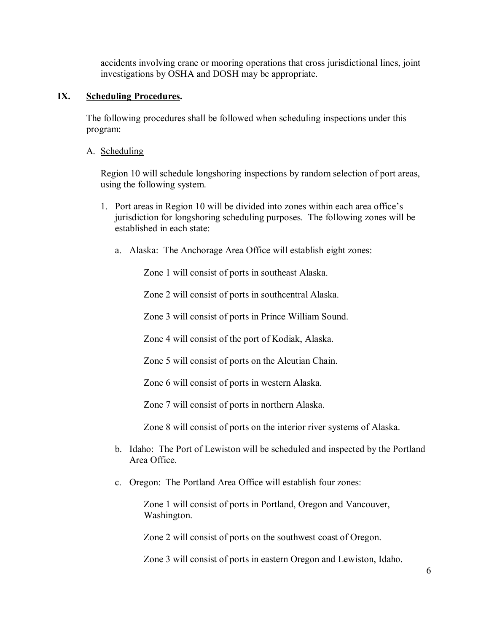accidents involving crane or mooring operations that cross jurisdictional lines, joint investigations by OSHA and DOSH may be appropriate.

### <span id="page-5-0"></span>**IX. Scheduling Procedures.**

The following procedures shall be followed when scheduling inspections under this program:

A. Scheduling

Region 10 will schedule longshoring inspections by random selection of port areas, using the following system.

- 1. Port areas in Region 10 will be divided into zones within each area office's jurisdiction for longshoring scheduling purposes. The following zones will be established in each state:
	- a. Alaska: The Anchorage Area Office will establish eight zones:

Zone 1 will consist of ports in southeast Alaska.

Zone 2 will consist of ports in southcentral Alaska.

Zone 3 will consist of ports in Prince William Sound.

Zone 4 will consist of the port of Kodiak, Alaska.

Zone 5 will consist of ports on the Aleutian Chain.

Zone 6 will consist of ports in western Alaska.

Zone 7 will consist of ports in northern Alaska.

Zone 8 will consist of ports on the interior river systems of Alaska.

- b. Idaho: The Port of Lewiston will be scheduled and inspected by the Portland Area Office.
- c. Oregon: The Portland Area Office will establish four zones:

Zone 1 will consist of ports in Portland, Oregon and Vancouver, Washington.

Zone 2 will consist of ports on the southwest coast of Oregon.

Zone 3 will consist of ports in eastern Oregon and Lewiston, Idaho.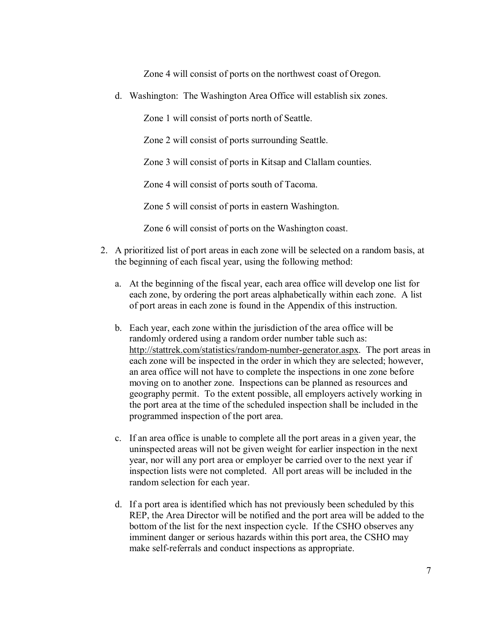Zone 4 will consist of ports on the northwest coast of Oregon.

d. Washington: The Washington Area Office will establish six zones.

Zone 1 will consist of ports north of Seattle.

Zone 2 will consist of ports surrounding Seattle.

Zone 3 will consist of ports in Kitsap and Clallam counties.

Zone 4 will consist of ports south of Tacoma.

Zone 5 will consist of ports in eastern Washington.

Zone 6 will consist of ports on the Washington coast.

- 2. A prioritized list of port areas in each zone will be selected on a random basis, at the beginning of each fiscal year, using the following method:
	- a. At the beginning of the fiscal year, each area office will develop one list for each zone, by ordering the port areas alphabetically within each zone. A list of port areas in each zone is found in the [Appendix](#page-9-0) of this instruction.
	- b. Each year, each zone within the jurisdiction of the area office will be randomly ordered using a random order number table such as: [http://stattrek.com/statistics/random-number-generator.aspx.](http://stattrek.com/statistics/random-number-generator.aspx) The port areas in each zone will be inspected in the order in which they are selected; however, an area office will not have to complete the inspections in one zone before moving on to another zone. Inspections can be planned as resources and geography permit. To the extent possible, all employers actively working in the port area at the time of the scheduled inspection shall be included in the programmed inspection of the port area.
	- c. If an area office is unable to complete all the port areas in a given year, the uninspected areas will not be given weight for earlier inspection in the next year, nor will any port area or employer be carried over to the next year if inspection lists were not completed. All port areas will be included in the random selection for each year.
	- d. If a port area is identified which has not previously been scheduled by this REP, the Area Director will be notified and the port area will be added to the bottom of the list for the next inspection cycle. If the CSHO observes any imminent danger or serious hazards within this port area, the CSHO may make self-referrals and conduct inspections as appropriate.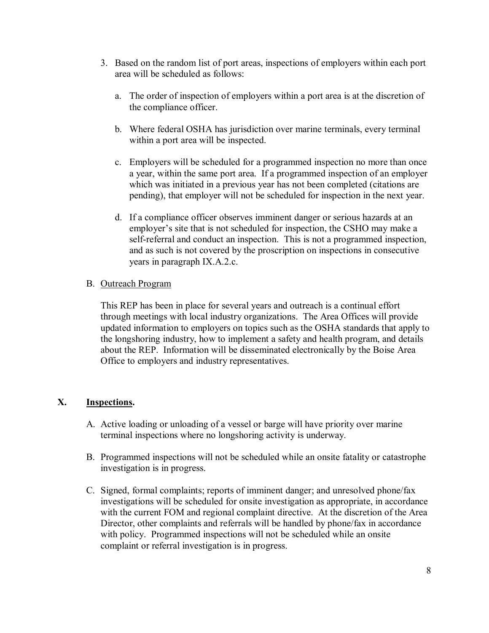- 3. Based on the random list of port areas, inspections of employers within each port area will be scheduled as follows:
	- a. The order of inspection of employers within a port area is at the discretion of the compliance officer.
	- b. Where federal OSHA has jurisdiction over marine terminals, every terminal within a port area will be inspected.
	- c. Employers will be scheduled for a programmed inspection no more than once a year, within the same port area. If a programmed inspection of an employer which was initiated in a previous year has not been completed (citations are pending), that employer will not be scheduled for inspection in the next year.
	- d. If a compliance officer observes imminent danger or serious hazards at an employer's site that is not scheduled for inspection, the CSHO may make a self-referral and conduct an inspection. This is not a programmed inspection, and as such is not covered by the proscription on inspections in consecutive years in paragraph IX.A.2.c.

### B. Outreach Program

This REP has been in place for several years and outreach is a continual effort through meetings with local industry organizations. The Area Offices will provide updated information to employers on topics such as the OSHA standards that apply to the longshoring industry, how to implement a safety and health program, and details about the REP. Information will be disseminated electronically by the Boise Area Office to employers and industry representatives.

## <span id="page-7-0"></span>**X. Inspections.**

- A. Active loading or unloading of a vessel or barge will have priority over marine terminal inspections where no longshoring activity is underway.
- B. Programmed inspections will not be scheduled while an onsite fatality or catastrophe investigation is in progress.
- C. Signed, formal complaints; reports of imminent danger; and unresolved phone/fax investigations will be scheduled for onsite investigation as appropriate, in accordance with the current FOM and regional complaint directive. At the discretion of the Area Director, other complaints and referrals will be handled by phone/fax in accordance with policy. Programmed inspections will not be scheduled while an onsite complaint or referral investigation is in progress.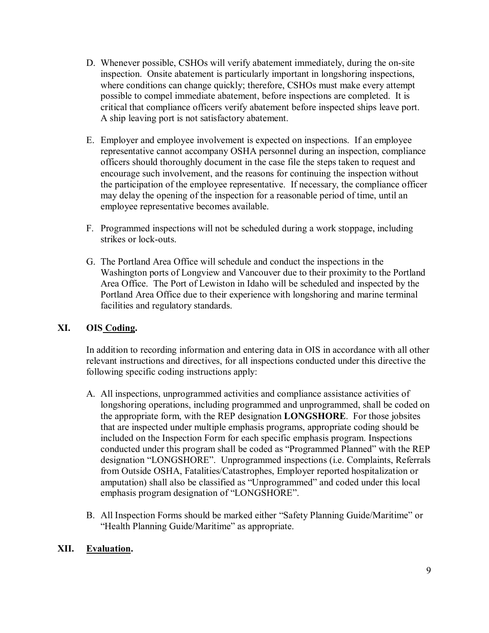- D. Whenever possible, CSHOs will verify abatement immediately, during the on-site inspection. Onsite abatement is particularly important in longshoring inspections, where conditions can change quickly; therefore, CSHOs must make every attempt possible to compel immediate abatement, before inspections are completed. It is critical that compliance officers verify abatement before inspected ships leave port. A ship leaving port is not satisfactory abatement.
- E. Employer and employee involvement is expected on inspections. If an employee representative cannot accompany OSHA personnel during an inspection, compliance officers should thoroughly document in the case file the steps taken to request and encourage such involvement, and the reasons for continuing the inspection without the participation of the employee representative. If necessary, the compliance officer may delay the opening of the inspection for a reasonable period of time, until an employee representative becomes available.
- F. Programmed inspections will not be scheduled during a work stoppage, including strikes or lock-outs.
- G. The Portland Area Office will schedule and conduct the inspections in the Washington ports of Longview and Vancouver due to their proximity to the Portland Area Office. The Port of Lewiston in Idaho will be scheduled and inspected by the Portland Area Office due to their experience with longshoring and marine terminal facilities and regulatory standards.

## <span id="page-8-0"></span>**XI. OIS Coding.**

In addition to recording information and entering data in OIS in accordance with all other relevant instructions and directives, for all inspections conducted under this directive the following specific coding instructions apply:

- A. All inspections, unprogrammed activities and compliance assistance activities of longshoring operations, including programmed and unprogrammed, shall be coded on the appropriate form, with the REP designation **LONGSHORE**. For those jobsites that are inspected under multiple emphasis programs, appropriate coding should be included on the Inspection Form for each specific emphasis program. Inspections conducted under this program shall be coded as "Programmed Planned" with the REP designation "LONGSHORE". Unprogrammed inspections (i.e. Complaints, Referrals from Outside OSHA, Fatalities/Catastrophes, Employer reported hospitalization or amputation) shall also be classified as "Unprogrammed" and coded under this local emphasis program designation of "LONGSHORE".
- B. All Inspection Forms should be marked either "Safety Planning Guide/Maritime" or "Health Planning Guide/Maritime" as appropriate.

## <span id="page-8-1"></span>**XII. Evaluation.**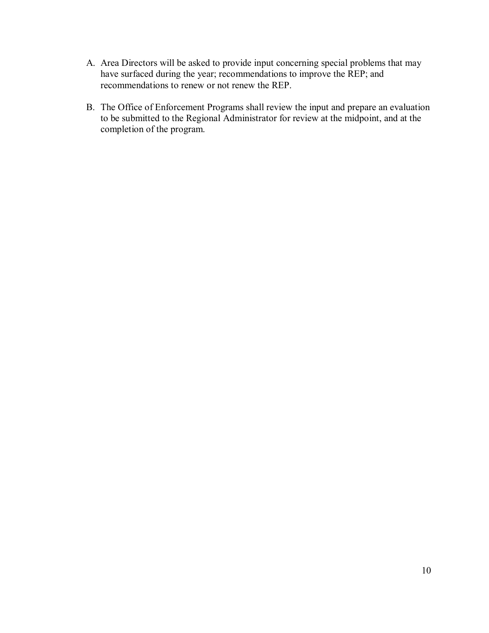- A. Area Directors will be asked to provide input concerning special problems that may have surfaced during the year; recommendations to improve the REP; and recommendations to renew or not renew the REP.
- <span id="page-9-0"></span>B. The Office of Enforcement Programs shall review the input and prepare an evaluation to be submitted to the Regional Administrator for review at the midpoint, and at the completion of the program.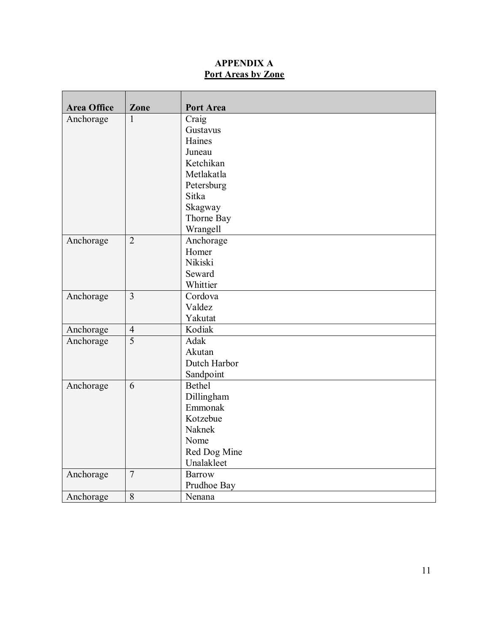# **APPENDIX A Port Areas by Zone**

<span id="page-10-0"></span>

| <b>Area Office</b> | Zone           | Port Area     |
|--------------------|----------------|---------------|
| Anchorage          | $\mathbf{1}$   | Craig         |
|                    |                | Gustavus      |
|                    |                | Haines        |
|                    |                | Juneau        |
|                    |                | Ketchikan     |
|                    |                | Metlakatla    |
|                    |                | Petersburg    |
|                    |                | Sitka         |
|                    |                | Skagway       |
|                    |                | Thorne Bay    |
|                    |                | Wrangell      |
| Anchorage          | $\overline{2}$ | Anchorage     |
|                    |                | Homer         |
|                    |                | Nikiski       |
|                    |                | Seward        |
|                    |                | Whittier      |
| Anchorage          | $\overline{3}$ | Cordova       |
|                    |                | Valdez        |
|                    |                | Yakutat       |
| Anchorage          | $\overline{4}$ | Kodiak        |
| Anchorage          | $\overline{5}$ | Adak          |
|                    |                | Akutan        |
|                    |                | Dutch Harbor  |
|                    |                | Sandpoint     |
| Anchorage          | 6              | <b>Bethel</b> |
|                    |                | Dillingham    |
|                    |                | Emmonak       |
|                    |                | Kotzebue      |
|                    |                | Naknek        |
|                    |                | Nome          |
|                    |                | Red Dog Mine  |
|                    |                | Unalakleet    |
| Anchorage          | $\overline{7}$ | <b>Barrow</b> |
|                    |                | Prudhoe Bay   |
| Anchorage          | $\overline{8}$ | Nenana        |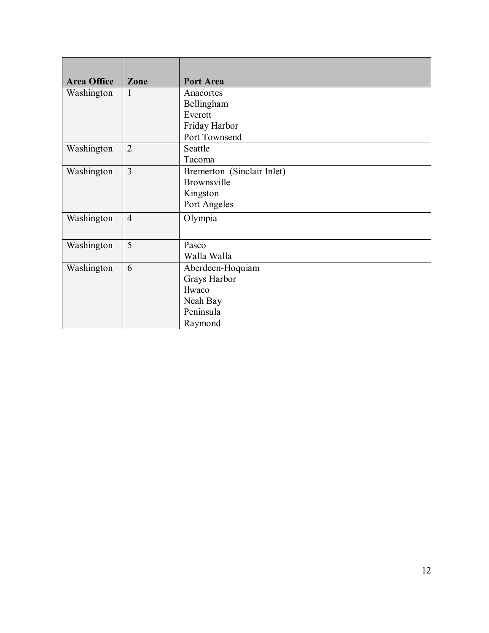| <b>Area Office</b> | Zone           | Port Area                  |
|--------------------|----------------|----------------------------|
| Washington         | $\mathbf{1}$   | Anacortes                  |
|                    |                | Bellingham                 |
|                    |                | Everett                    |
|                    |                | Friday Harbor              |
|                    |                | Port Townsend              |
| Washington         | $\overline{2}$ | Seattle                    |
|                    |                | Tacoma                     |
| Washington         | $\overline{3}$ | Bremerton (Sinclair Inlet) |
|                    |                | Brownsville                |
|                    |                | Kingston                   |
|                    |                | Port Angeles               |
| Washington         | $\overline{4}$ | Olympia                    |
|                    |                |                            |
| Washington         | 5              | Pasco                      |
|                    |                | Walla Walla                |
| Washington         | 6              | Aberdeen-Hoquiam           |
|                    |                | Grays Harbor               |
|                    |                | Ilwaco                     |
|                    |                | Neah Bay                   |
|                    |                | Peninsula                  |
|                    |                | Raymond                    |